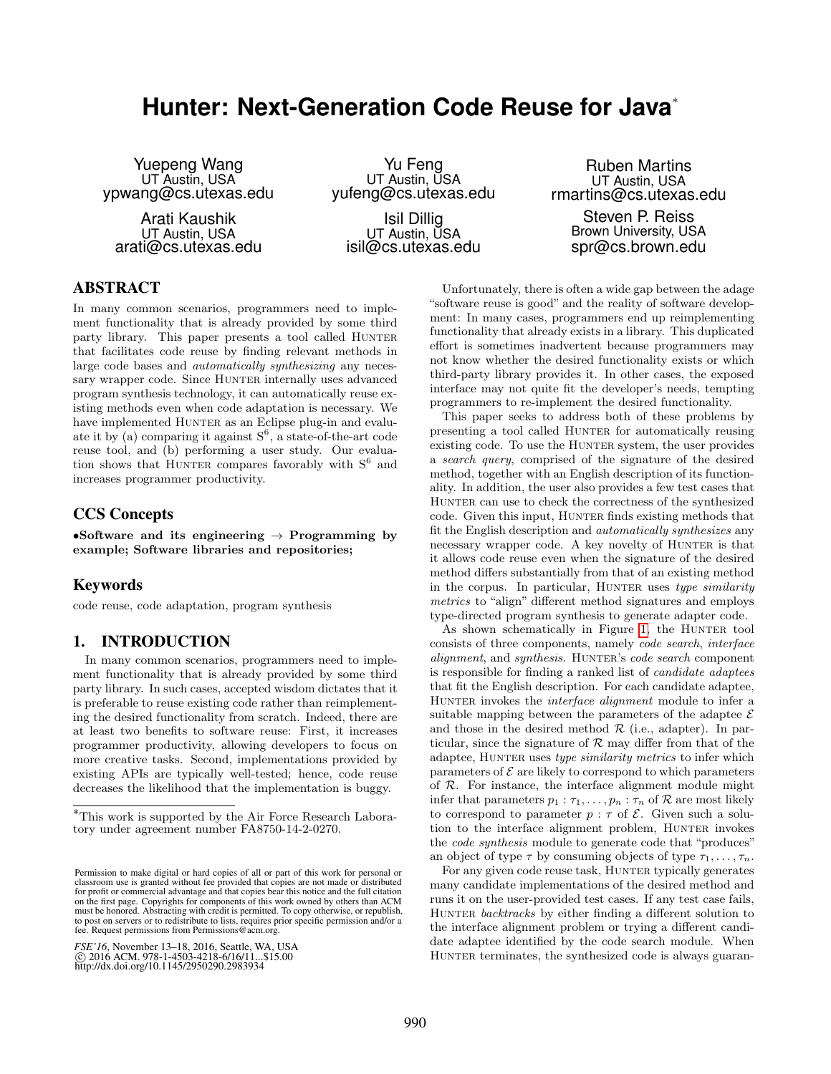# **Hunter: Next-Generation Code Reuse for Java**<sup>∗</sup>

Yuepeng Wang UT Austin, USA ypwang@cs.utexas.edu

Arati Kaushik UT Austin, USA arati@cs.utexas.edu

Yu Feng UT Austin, USA yufeng@cs.utexas.edu

Isil Dillig UT Austin, USA isil@cs.utexas.edu

Ruben Martins UT Austin, USA rmartins@cs.utexas.edu

Steven P. Reiss Brown University, USA spr@cs.brown.edu

# ABSTRACT

In many common scenarios, programmers need to implement functionality that is already provided by some third party library. This paper presents a tool called HUNTER that facilitates code reuse by finding relevant methods in large code bases and automatically synthesizing any necessary wrapper code. Since HUNTER internally uses advanced program synthesis technology, it can automatically reuse existing methods even when code adaptation is necessary. We have implemented HUNTER as an Eclipse plug-in and evaluate it by (a) comparing it against  $S^6$ , a state-of-the-art code reuse tool, and (b) performing a user study. Our evaluation shows that HUNTER compares favorably with  $S^6$  and increases programmer productivity.

# CCS Concepts

•Software and its engineering  $\rightarrow$  Programming by example; Software libraries and repositories;

# Keywords

code reuse, code adaptation, program synthesis

## 1. INTRODUCTION

In many common scenarios, programmers need to implement functionality that is already provided by some third party library. In such cases, accepted wisdom dictates that it is preferable to reuse existing code rather than reimplementing the desired functionality from scratch. Indeed, there are at least two benefits to software reuse: First, it increases programmer productivity, allowing developers to focus on more creative tasks. Second, implementations provided by existing APIs are typically well-tested; hence, code reuse decreases the likelihood that the implementation is buggy.

*FSE'16*, November 13–18, 2016, Seattle, WA, USA © 2016 ACM. 978-1-4503-4218-6/16/11...\$15.00 http://dx.doi.org/10.1145/2950290.2983934

Unfortunately, there is often a wide gap between the adage "software reuse is good" and the reality of software development: In many cases, programmers end up reimplementing functionality that already exists in a library. This duplicated effort is sometimes inadvertent because programmers may not know whether the desired functionality exists or which third-party library provides it. In other cases, the exposed interface may not quite fit the developer's needs, tempting programmers to re-implement the desired functionality.

This paper seeks to address both of these problems by presenting a tool called HUNTER for automatically reusing existing code. To use the HUNTER system, the user provides a search query, comprised of the signature of the desired method, together with an English description of its functionality. In addition, the user also provides a few test cases that HUNTER can use to check the correctness of the synthesized code. Given this input, HUNTER finds existing methods that fit the English description and automatically synthesizes any necessary wrapper code. A key novelty of HUNTER is that it allows code reuse even when the signature of the desired method differs substantially from that of an existing method in the corpus. In particular, HUNTER uses type similarity metrics to "align" different method signatures and employs type-directed program synthesis to generate adapter code.

As shown schematically in Figure [1,](#page-1-0) the HUNTER tool consists of three components, namely code search, interface alignment, and synthesis. HUNTER's code search component is responsible for finding a ranked list of candidate adaptees that fit the English description. For each candidate adaptee, HUNTER invokes the *interface alignment* module to infer a suitable mapping between the parameters of the adaptee  $\mathcal E$ and those in the desired method  $R$  (i.e., adapter). In particular, since the signature of  $\mathcal R$  may differ from that of the adaptee, HUNTER uses type similarity metrics to infer which parameters of  $\mathcal E$  are likely to correspond to which parameters of  $R$ . For instance, the interface alignment module might infer that parameters  $p_1 : \tau_1, \ldots, p_n : \tau_n$  of  $\mathcal R$  are most likely to correspond to parameter  $p : \tau$  of  $\mathcal{E}$ . Given such a solution to the interface alignment problem, HUNTER invokes the code synthesis module to generate code that "produces" an object of type  $\tau$  by consuming objects of type  $\tau_1, \ldots, \tau_n$ .

For any given code reuse task, HUNTER typically generates many candidate implementations of the desired method and runs it on the user-provided test cases. If any test case fails, HUNTER *backtracks* by either finding a different solution to the interface alignment problem or trying a different candidate adaptee identified by the code search module. When HUNTER terminates, the synthesized code is always guaran-

<sup>∗</sup>This work is supported by the Air Force Research Laboratory under agreement number FA8750-14-2-0270.

Permission to make digital or hard copies of all or part of this work for personal or classroom use is granted without fee provided that copies are not made or distributed for profit or commercial advantage and that copies bear this notice and the full citation on the first page. Copyrights for components of this work owned by others than ACM must be honored. Abstracting with credit is permitted. To copy otherwise, or republish, to post on servers or to redistribute to lists, requires prior specific permission and/or a fee. Request permissions from Permissions@acm.org.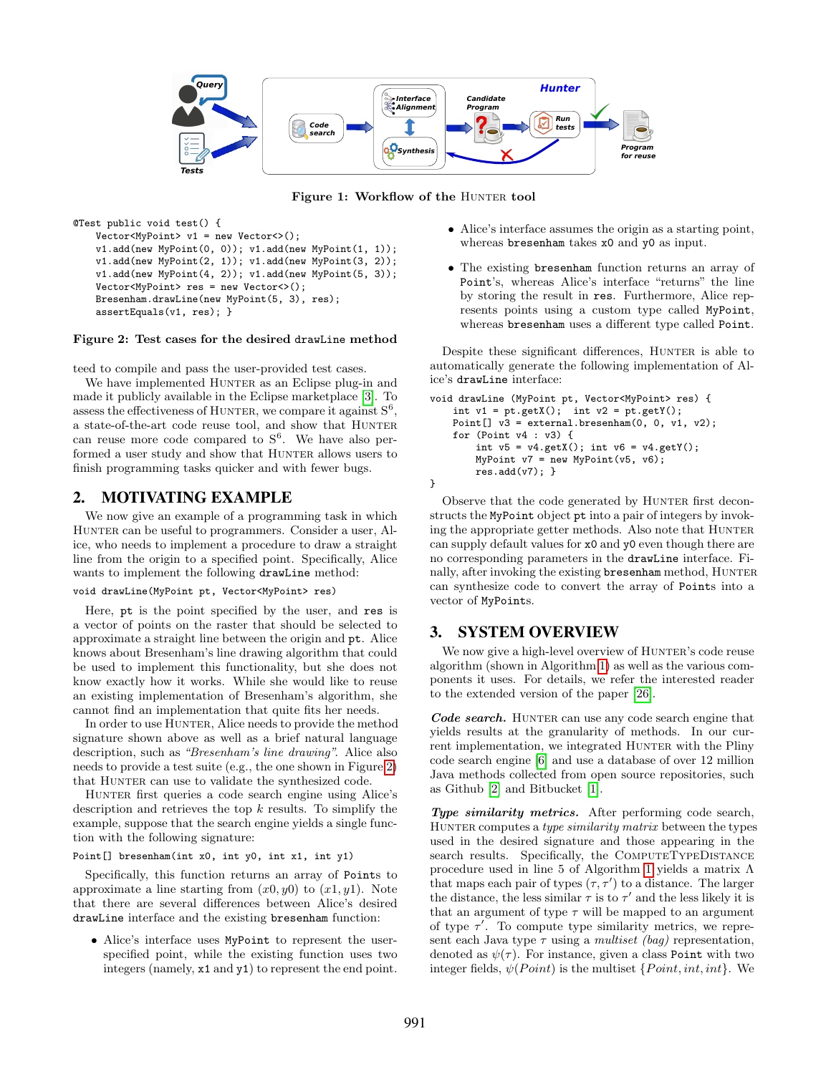<span id="page-1-0"></span>

Figure 1: Workflow of the HUNTER tool

```
@Test public void test() {
    Vector<MyPoint> v1 = new Vector<>();v1.add(new MyPoint(0, 0)); v1.add(new MyPoint(1, 1));v1.add(new MyPoint(2, 1)); v1.add(new MyPoint(3, 2));v1.add(new MyPoint(4, 2)); v1.add(new MyPoint(5, 3));
    Vector<MyPoint> res = new Vector<>();
   Bresenham.drawLine(new MyPoint(5, 3), res);
   assertEquals(v1, res); }
```
## Figure 2: Test cases for the desired drawLine method

teed to compile and pass the user-provided test cases.

We have implemented HUNTER as an Eclipse plug-in and made it publicly available in the Eclipse marketplace [\[3\]](#page-4-0). To assess the effectiveness of HUNTER, we compare it against  $S^6$ , a state-of-the-art code reuse tool, and show that HUNTER can reuse more code compared to S 6 . We have also performed a user study and show that HUNTER allows users to finish programming tasks quicker and with fewer bugs.

## <span id="page-1-2"></span>2. MOTIVATING EXAMPLE

We now give an example of a programming task in which HUNTER can be useful to programmers. Consider a user, Alice, who needs to implement a procedure to draw a straight line from the origin to a specified point. Specifically, Alice wants to implement the following drawLine method:

#### void drawLine(MyPoint pt, Vector<MyPoint> res)

Here, pt is the point specified by the user, and res is a vector of points on the raster that should be selected to approximate a straight line between the origin and pt. Alice knows about Bresenham's line drawing algorithm that could be used to implement this functionality, but she does not know exactly how it works. While she would like to reuse an existing implementation of Bresenham's algorithm, she cannot find an implementation that quite fits her needs.

In order to use HUNTER, Alice needs to provide the method signature shown above as well as a brief natural language description, such as "Bresenham's line drawing". Alice also needs to provide a test suite (e.g., the one shown in Figure [2\)](#page-1-1) that HUNTER can use to validate the synthesized code.

HUNTER first queries a code search engine using Alice's description and retrieves the top  $k$  results. To simplify the example, suppose that the search engine yields a single function with the following signature:

#### Point[] bresenham(int x0, int y0, int x1, int y1)

Specifically, this function returns an array of Points to approximate a line starting from  $(x0, y0)$  to  $(x1, y1)$ . Note that there are several differences between Alice's desired drawLine interface and the existing bresenham function:

• Alice's interface uses MyPoint to represent the userspecified point, while the existing function uses two integers (namely, x1 and y1) to represent the end point.

- Alice's interface assumes the origin as a starting point, whereas bresenham takes x0 and y0 as input.
- The existing bresenham function returns an array of Point's, whereas Alice's interface "returns" the line by storing the result in res. Furthermore, Alice represents points using a custom type called MyPoint, whereas bresenham uses a different type called Point.

Despite these significant differences, HUNTER is able to automatically generate the following implementation of Alice's drawLine interface:

```
void drawLine (MyPoint pt, Vector<MyPoint> res) {
    int v1 = pt.getX(); int v2 = pt.getY();
    Point[] v3 = external.bresenham(0, 0, v1, v2);
    for (Point v4 : v3) {
        int v5 = v4.getX(); int v6 = v4.getY();
        MyPoint v7 = new MyPoint(v5, v6);res.add(v7);}
}
```
Observe that the code generated by HUNTER first deconstructs the MyPoint object pt into a pair of integers by invoking the appropriate getter methods. Also note that HUNTER can supply default values for x0 and y0 even though there are no corresponding parameters in the drawLine interface. Finally, after invoking the existing bresenham method, HUNTER can synthesize code to convert the array of Points into a vector of MyPoints.

## 3. SYSTEM OVERVIEW

We now give a high-level overview of HUNTER's code reuse algorithm (shown in Algorithm [1\)](#page-2-0) as well as the various components it uses. For details, we refer the interested reader to the extended version of the paper [\[26\]](#page-4-1).

Code search. HUNTER can use any code search engine that yields results at the granularity of methods. In our current implementation, we integrated HUNTER with the Pliny code search engine [\[6\]](#page-4-2) and use a database of over 12 million Java methods collected from open source repositories, such as Github [\[2\]](#page-4-3) and Bitbucket [\[1\]](#page-4-4).

Type similarity metrics. After performing code search, HUNTER computes a *type similarity matrix* between the types used in the desired signature and those appearing in the search results. Specifically, the COMPUTETYPEDISTANCE procedure used in line 5 of Algorithm [1](#page-2-0) yields a matrix Λ that maps each pair of types  $(\tau, \tau')$  to a distance. The larger the distance, the less similar  $\tau$  is to  $\tau'$  and the less likely it is that an argument of type  $\tau$  will be mapped to an argument of type  $\tau'$ . To compute type similarity metrics, we represent each Java type  $\tau$  using a *multiset (bag)* representation, denoted as  $\psi(\tau)$ . For instance, given a class Point with two integer fields,  $\psi (Point)$  is the multiset  $\{Point, int, int\}$ . We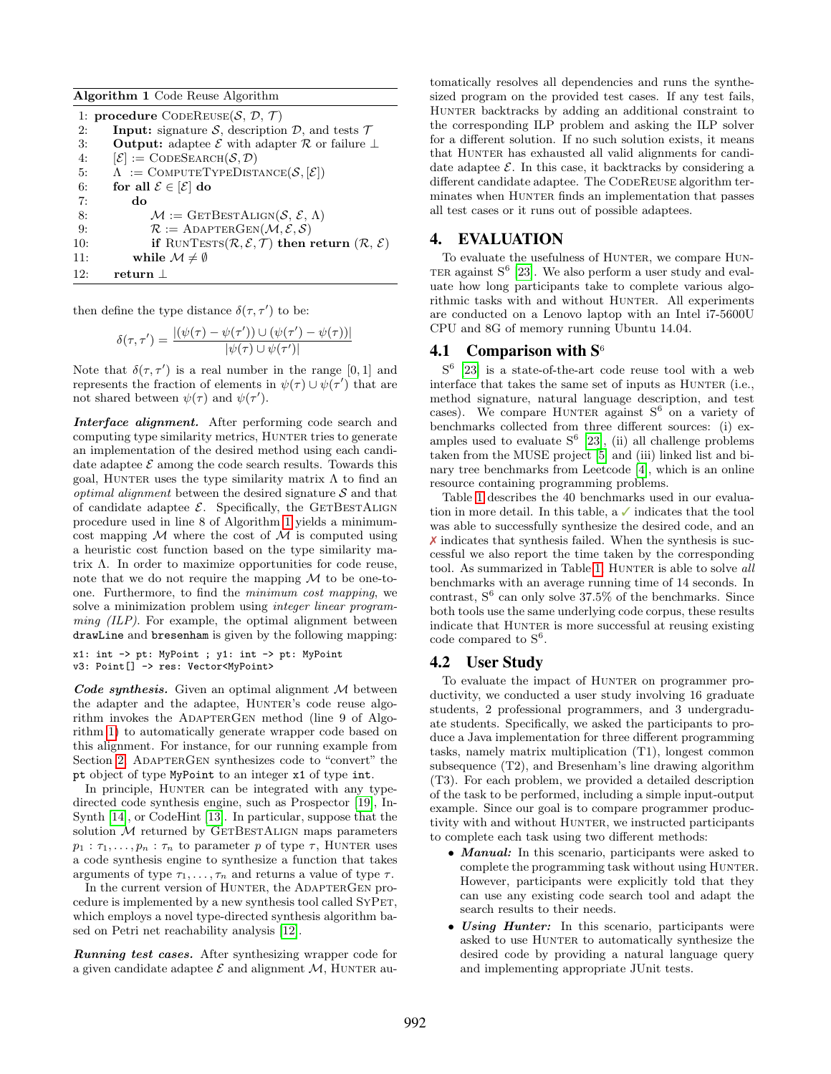<span id="page-2-0"></span>

| Algorithm 1 Code Reuse Algorithm |  |  |  |
|----------------------------------|--|--|--|
|----------------------------------|--|--|--|

|     | 1: procedure CODEREUSE(S, D, T)                                                                   |
|-----|---------------------------------------------------------------------------------------------------|
| 2:  | <b>Input:</b> signature S, description D, and tests $\mathcal{T}$                                 |
| 3:  | <b>Output:</b> adaptee $\mathcal E$ with adapter $\mathcal R$ or failure $\perp$                  |
| 4:  | $[\mathcal{E}] := \text{CODESEARCH}(\mathcal{S}, \mathcal{D})$                                    |
| 5:  | $\Lambda$ := COMPUTETYPEDISTANCE( $S$ , $[\mathcal{E}]$ )                                         |
| 6:  | for all $\mathcal{E} \in [\mathcal{E}]$ do                                                        |
| 7:  | do                                                                                                |
| 8:  | $\mathcal{M} := \text{GETBestALIGN}(\mathcal{S}, \mathcal{E}, \Lambda)$                           |
| 9:  | $\mathcal{R} := \text{ADAPTERGEN}(\mathcal{M}, \mathcal{E}, \mathcal{S})$                         |
| 10: | if RUNTESTS( $\mathcal{R}, \mathcal{E}, \mathcal{T}$ ) then return ( $\mathcal{R}, \mathcal{E}$ ) |
| 11: | while $\mathcal{M} \neq \emptyset$                                                                |
| 12: | $return \perp$                                                                                    |

then define the type distance  $\delta(\tau, \tau')$  to be:

$$
\delta(\tau,\tau') = \frac{\left| \left( \psi(\tau) - \psi(\tau') \right) \cup \left( \psi(\tau') - \psi(\tau) \right) \right|}{\left| \psi(\tau) \cup \psi(\tau') \right|}
$$

Note that  $\delta(\tau, \tau')$  is a real number in the range [0, 1] and represents the fraction of elements in  $\psi(\tau) \cup \psi(\tau')$  that are not shared between  $\psi(\tau)$  and  $\psi(\tau')$ .

Interface alignment. After performing code search and computing type similarity metrics, HUNTER tries to generate an implementation of the desired method using each candidate adaptee  $\mathcal E$  among the code search results. Towards this goal, HUNTER uses the type similarity matrix  $\Lambda$  to find an *optimal alignment* between the desired signature  $S$  and that of candidate adaptee  $\mathcal{E}$ . Specifically, the GETBESTALIGN procedure used in line 8 of Algorithm [1](#page-2-0) yields a minimumcost mapping  $M$  where the cost of  $M$  is computed using a heuristic cost function based on the type similarity matrix Λ. In order to maximize opportunities for code reuse, note that we do not require the mapping  $\mathcal M$  to be one-toone. Furthermore, to find the minimum cost mapping, we solve a minimization problem using integer linear programming *(ILP)*. For example, the optimal alignment between drawLine and bresenham is given by the following mapping:

x1: int -> pt: MyPoint ; y1: int -> pt: MyPoint v3: Point[] -> res: Vector<MyPoint>

Code synthesis. Given an optimal alignment  $M$  between the adapter and the adaptee, HUNTER's code reuse algorithm invokes the ADAPTERGEN method (line 9 of Algorithm [1\)](#page-2-0) to automatically generate wrapper code based on this alignment. For instance, for our running example from Section [2,](#page-1-2) ADAPTERGEN synthesizes code to "convert" the pt object of type MyPoint to an integer x1 of type int.

In principle, HUNTER can be integrated with any typedirected code synthesis engine, such as Prospector [\[19\]](#page-4-5), In-Synth [\[14\]](#page-4-6), or CodeHint [\[13\]](#page-4-7). In particular, suppose that the solution  $M$  returned by GETBESTALIGN maps parameters  $p_1 : \tau_1, \ldots, p_n : \tau_n$  to parameter p of type  $\tau$ , HUNTER uses a code synthesis engine to synthesize a function that takes arguments of type  $\tau_1, \ldots, \tau_n$  and returns a value of type  $\tau$ .

In the current version of HUNTER, the ADAPTERGEN procedure is implemented by a new synthesis tool called SyPet, which employs a novel type-directed synthesis algorithm based on Petri net reachability analysis [\[12\]](#page-4-8).

Running test cases. After synthesizing wrapper code for a given candidate adaptee  $\mathcal E$  and alignment  $\mathcal M$ , HUNTER automatically resolves all dependencies and runs the synthesized program on the provided test cases. If any test fails, HUNTER backtracks by adding an additional constraint to the corresponding ILP problem and asking the ILP solver for a different solution. If no such solution exists, it means that HUNTER has exhausted all valid alignments for candidate adaptee  $\mathcal{E}$ . In this case, it backtracks by considering a different candidate adaptee. The CODEREUSE algorithm terminates when HUNTER finds an implementation that passes all test cases or it runs out of possible adaptees.

# 4. EVALUATION

To evaluate the usefulness of HUNTER, we compare HUN-TER against  $S^6$  [\[23\]](#page-4-9). We also perform a user study and evaluate how long participants take to complete various algorithmic tasks with and without HUNTER. All experiments are conducted on a Lenovo laptop with an Intel i7-5600U CPU and 8G of memory running Ubuntu 14.04.

## 4.1 Comparison with  $S^6$

 $S<sup>6</sup>$  [\[23\]](#page-4-9) is a state-of-the-art code reuse tool with a web interface that takes the same set of inputs as HUNTER (i.e., method signature, natural language description, and test cases). We compare HUNTER against  $S^6$  on a variety of benchmarks collected from three different sources: (i) examples used to evaluate  $S^6$  [\[23\]](#page-4-9), (ii) all challenge problems taken from the MUSE project [\[5\]](#page-4-10) and (iii) linked list and binary tree benchmarks from Leetcode [\[4\]](#page-4-11), which is an online resource containing programming problems.

Table [1](#page-3-0) describes the 40 benchmarks used in our evaluation in more detail. In this table, a  $\checkmark$  indicates that the tool was able to successfully synthesize the desired code, and an  $\chi$  indicates that synthesis failed. When the synthesis is successful we also report the time taken by the corresponding tool. As summarized in Table [1,](#page-3-0) HUNTER is able to solve all benchmarks with an average running time of 14 seconds. In contrast, S 6 can only solve 37.5% of the benchmarks. Since both tools use the same underlying code corpus, these results indicate that HUNTER is more successful at reusing existing code compared to S 6 .

## 4.2 User Study

To evaluate the impact of HUNTER on programmer productivity, we conducted a user study involving 16 graduate students, 2 professional programmers, and 3 undergraduate students. Specifically, we asked the participants to produce a Java implementation for three different programming tasks, namely matrix multiplication (T1), longest common subsequence (T2), and Bresenham's line drawing algorithm (T3). For each problem, we provided a detailed description of the task to be performed, including a simple input-output example. Since our goal is to compare programmer productivity with and without HUNTER, we instructed participants to complete each task using two different methods:

- *Manual:* In this scenario, participants were asked to complete the programming task without using HUNTER. However, participants were explicitly told that they can use any existing code search tool and adapt the search results to their needs.
- Using Hunter: In this scenario, participants were asked to use HUNTER to automatically synthesize the desired code by providing a natural language query and implementing appropriate JUnit tests.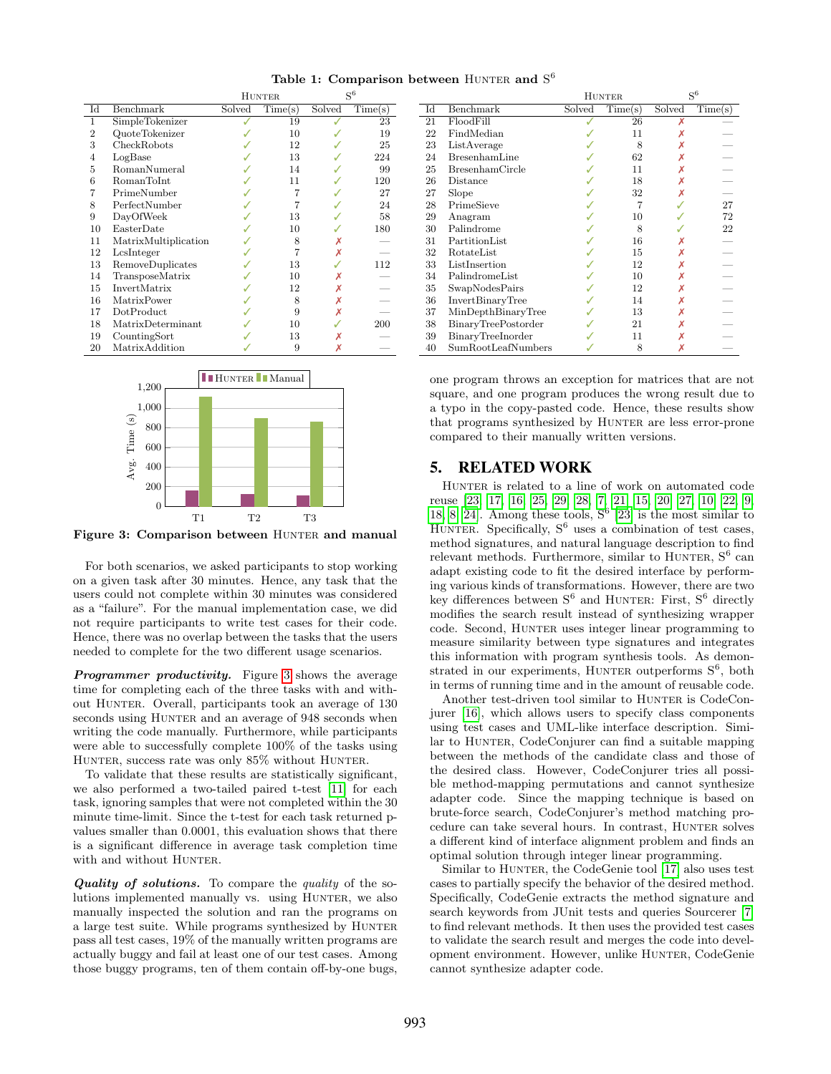| Table 1: Comparison between HUNTER and $S^6$ |  |  |  |  |  |  |
|----------------------------------------------|--|--|--|--|--|--|
|----------------------------------------------|--|--|--|--|--|--|

<span id="page-3-0"></span>

|                |                      | <b>HUNTER</b> |         | $S^6$  |         |
|----------------|----------------------|---------------|---------|--------|---------|
| Id             | Benchmark            | Solved        | Time(s) | Solved | Time(s) |
| 1              | SimpleTokenizer      |               | 19      |        | 23      |
| $\overline{2}$ | QuoteTokenizer       |               | 10      |        | 19      |
| 3              | CheckRobots          |               | 12      |        | 25      |
| $\overline{4}$ | LogBase              |               | 13      |        | 224     |
| 5              | <b>RomanNumeral</b>  |               | 14      |        | 99      |
| 6              | RomanToInt           |               | 11      |        | 120     |
| 7              | PrimeNumber          |               | 7       |        | 27      |
| 8              | PerfectNumber        |               | 7       |        | 24      |
| 9              | DayOfWeek            |               | 13      |        | 58      |
| 10             | <b>EasterDate</b>    |               | 10      |        | 180     |
| 11             | MatrixMultiplication |               | 8       | х      |         |
| 12             | LcsInteger           |               |         | х      |         |
| 13             | RemoveDuplicates     |               | 13      |        | 112     |
| 14             | TransposeMatrix      |               | 10      | х      |         |
| 15             | InvertMatrix         |               | 12      | х      |         |
| 16             | MatrixPower          |               | 8       | х      |         |
| 17             | DotProduct           |               | 9       | Х      |         |
| 18             | MatrixDeterminant    |               | 10      |        | 200     |
| 19             | CountingSort         |               | 13      | х      |         |
| 20             | MatrixAddition       |               | 9       |        |         |

<span id="page-3-1"></span>

Figure 3: Comparison between HUNTER and manual

For both scenarios, we asked participants to stop working on a given task after 30 minutes. Hence, any task that the users could not complete within 30 minutes was considered as a "failure". For the manual implementation case, we did not require participants to write test cases for their code. Hence, there was no overlap between the tasks that the users needed to complete for the two different usage scenarios.

**Programmer productivity.** Figure [3](#page-3-1) shows the average time for completing each of the three tasks with and without HUNTER. Overall, participants took an average of 130 seconds using HUNTER and an average of 948 seconds when writing the code manually. Furthermore, while participants were able to successfully complete 100% of the tasks using HUNTER, success rate was only 85% without HUNTER.

To validate that these results are statistically significant, we also performed a two-tailed paired t-test [\[11\]](#page-4-12) for each task, ignoring samples that were not completed within the 30 minute time-limit. Since the t-test for each task returned pvalues smaller than 0.0001, this evaluation shows that there is a significant difference in average task completion time with and without HUNTER.

**Quality of solutions.** To compare the quality of the solutions implemented manually vs. using HUNTER, we also manually inspected the solution and ran the programs on a large test suite. While programs synthesized by HUNTER pass all test cases, 19% of the manually written programs are actually buggy and fail at least one of our test cases. Among those buggy programs, ten of them contain off-by-one bugs,

|             |                          | HUNTER. |         | $S^6$  |                                   |
|-------------|--------------------------|---------|---------|--------|-----------------------------------|
| $_{\rm Id}$ | Benchmark                | Solved  | Time(s) | Solved | $\overline{\mathrm{T}}$ ime $(s)$ |
| 21          | FloodFill                |         | 26      | х      |                                   |
| 22          | FindMedian               |         | 11      | х      |                                   |
| 23          | ListAverage              |         | 8       | х      |                                   |
| 24          | BresenhamLine            |         | 62      | х      |                                   |
| 25          | <b>BresenhamCircle</b>   |         | 11      | х      |                                   |
| 26          | Distance                 |         | 18      | х      |                                   |
| 27          | Slope                    |         | 32      | Х      |                                   |
| 28          | PrimeSieve               |         | 7       |        | 27                                |
| 29          | Anagram                  |         | 10      |        | 72                                |
| 30          | Palindrome               |         | 8       |        | 22                                |
| 31          | PartitionList            |         | 16      |        |                                   |
| 32          | RotateList               |         | 15      | х      |                                   |
| 33          | ListInsertion            |         | 12      | х      |                                   |
| 34          | PalindromeList           |         | 10      | х      |                                   |
| 35          | SwapNodesPairs           |         | 12      | х      |                                   |
| 36          | <b>InvertBinaryTree</b>  |         | 14      | х      |                                   |
| 37          | MinDepthBinaryTree       |         | 13      | х      |                                   |
| 38          | BinaryTreePostorder      |         | 21      | х      |                                   |
| 39          | <b>BinaryTreeInorder</b> |         | 11      | х      |                                   |
| 40          | SumRootLeafNumbers       |         | 8       |        |                                   |

one program throws an exception for matrices that are not square, and one program produces the wrong result due to a typo in the copy-pasted code. Hence, these results show that programs synthesized by HUNTER are less error-prone compared to their manually written versions.

# 5. RELATED WORK

HUNTER is related to a line of work on automated code reuse [\[23,](#page-4-9) [17,](#page-4-13) [16,](#page-4-14) [25,](#page-4-15) [29,](#page-4-16) [28,](#page-4-17) [7,](#page-4-18) [21,](#page-4-19) [15,](#page-4-20) [20,](#page-4-21) [27,](#page-4-22) [10,](#page-4-23) [22,](#page-4-24) [9,](#page-4-25) [18,](#page-4-26) [8,](#page-4-27) [24\]](#page-4-28). Among these tools,  $S^6$  [\[23\]](#page-4-9) is the most similar to HUNTER. Specifically,  $S^6$  uses a combination of test cases, method signatures, and natural language description to find relevant methods. Furthermore, similar to HUNTER,  $S^6$  can adapt existing code to fit the desired interface by performing various kinds of transformations. However, there are two key differences between  $S^6$  and HUNTER: First,  $S^6$  directly modifies the search result instead of synthesizing wrapper code. Second, HUNTER uses integer linear programming to measure similarity between type signatures and integrates this information with program synthesis tools. As demonstrated in our experiments, HUNTER outperforms  $S^6$ , both in terms of running time and in the amount of reusable code.

Another test-driven tool similar to HUNTER is CodeConjurer [\[16\]](#page-4-14), which allows users to specify class components using test cases and UML-like interface description. Similar to HUNTER, CodeConjurer can find a suitable mapping between the methods of the candidate class and those of the desired class. However, CodeConjurer tries all possible method-mapping permutations and cannot synthesize adapter code. Since the mapping technique is based on brute-force search, CodeConjurer's method matching procedure can take several hours. In contrast, HUNTER solves a different kind of interface alignment problem and finds an optimal solution through integer linear programming.

Similar to HUNTER, the CodeGenie tool [\[17\]](#page-4-13) also uses test cases to partially specify the behavior of the desired method. Specifically, CodeGenie extracts the method signature and search keywords from JUnit tests and queries Sourcerer [\[7\]](#page-4-18) to find relevant methods. It then uses the provided test cases to validate the search result and merges the code into development environment. However, unlike HUNTER, CodeGenie cannot synthesize adapter code.